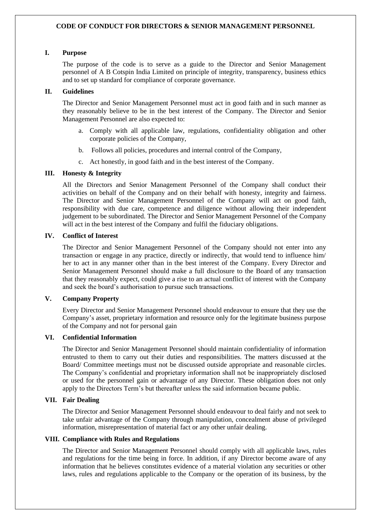## **CODE OF CONDUCT FOR DIRECTORS & SENIOR MANAGEMENT PERSONNEL**

# **I. Purpose**

The purpose of the code is to serve as a guide to the Director and Senior Management personnel of A B Cotspin India Limited on principle of integrity, transparency, business ethics and to set up standard for compliance of corporate governance.

### **II. Guidelines**

The Director and Senior Management Personnel must act in good faith and in such manner as they reasonably believe to be in the best interest of the Company. The Director and Senior Management Personnel are also expected to:

- a. Comply with all applicable law, regulations, confidentiality obligation and other corporate policies of the Company,
- b. Follows all policies, procedures and internal control of the Company,
- c. Act honestly, in good faith and in the best interest of the Company.

### **III. Honesty & Integrity**

All the Directors and Senior Management Personnel of the Company shall conduct their activities on behalf of the Company and on their behalf with honesty, integrity and fairness. The Director and Senior Management Personnel of the Company will act on good faith, responsibility with due care, competence and diligence without allowing their independent judgement to be subordinated. The Director and Senior Management Personnel of the Company will act in the best interest of the Company and fulfil the fiduciary obligations.

#### **IV. Conflict of Interest**

The Director and Senior Management Personnel of the Company should not enter into any transaction or engage in any practice, directly or indirectly, that would tend to influence him/ her to act in any manner other than in the best interest of the Company. Every Director and Senior Management Personnel should make a full disclosure to the Board of any transaction that they reasonably expect, could give a rise to an actual conflict of interest with the Company and seek the board's authorisation to pursue such transactions.

### **V. Company Property**

Every Director and Senior Management Personnel should endeavour to ensure that they use the Company's asset, proprietary information and resource only for the legitimate business purpose of the Company and not for personal gain

### **VI. Confidential Information**

The Director and Senior Management Personnel should maintain confidentiality of information entrusted to them to carry out their duties and responsibilities. The matters discussed at the Board/ Committee meetings must not be discussed outside appropriate and reasonable circles. The Company's confidential and proprietary information shall not be inappropriately disclosed or used for the personnel gain or advantage of any Director. These obligation does not only apply to the Directors Term's but thereafter unless the said information became public.

## **VII. Fair Dealing**

The Director and Senior Management Personnel should endeavour to deal fairly and not seek to take unfair advantage of the Company through manipulation, concealment abuse of privileged information, misrepresentation of material fact or any other unfair dealing.

# **VIII. Compliance with Rules and Regulations**

The Director and Senior Management Personnel should comply with all applicable laws, rules and regulations for the time being in force. In addition, if any Director become aware of any information that he believes constitutes evidence of a material violation any securities or other laws, rules and regulations applicable to the Company or the operation of its business, by the